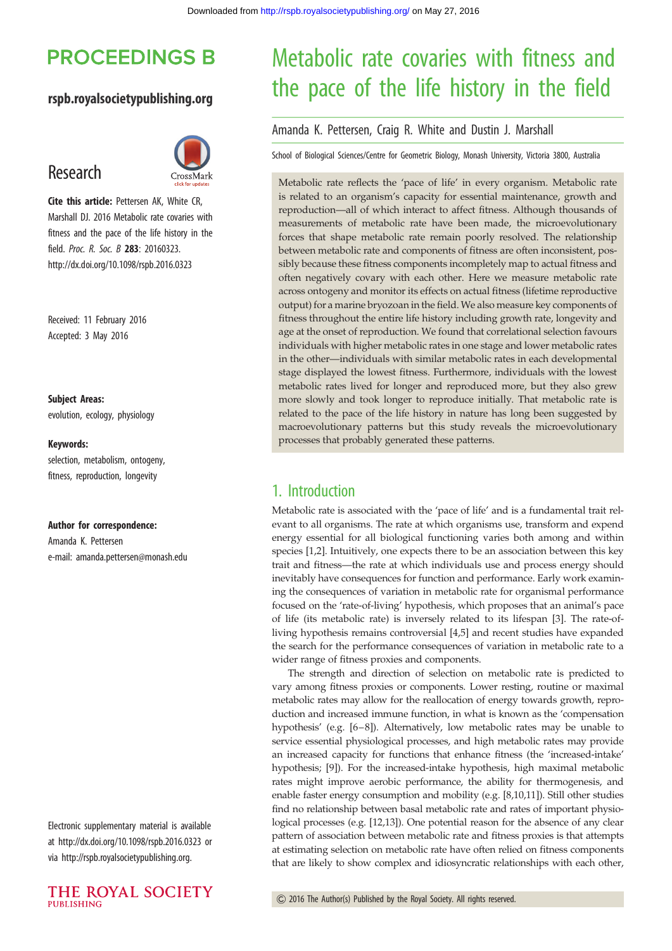# **PROCEEDINGS B**

### rspb.royalsocietypublishing.org

# Research



Cite this article: Pettersen AK, White CR, Marshall DJ. 2016 Metabolic rate covaries with fitness and the pace of the life history in the field. Proc. R. Soc. B 283: 20160323. http://dx.doi.org/10.1098/rspb.2016.0323

Received: 11 February 2016 Accepted: 3 May 2016

Subject Areas: evolution, ecology, physiology

#### Keywords:

selection, metabolism, ontogeny, fitness, reproduction, longevity

#### Author for correspondence:

Amanda K. Pettersen e-mail: [amanda.pettersen@monash.edu](mailto:amanda.pettersen@monash.edu)

Electronic supplementary material is available at<http://dx.doi.org/10.1098/rspb.2016.0323> or via<http://rspb.royalsocietypublishing.org>.



# Metabolic rate covaries with fitness and the pace of the life history in the field

#### Amanda K. Pettersen, Craig R. White and Dustin J. Marshall

School of Biological Sciences/Centre for Geometric Biology, Monash University, Victoria 3800, Australia

Metabolic rate reflects the 'pace of life' in every organism. Metabolic rate is related to an organism's capacity for essential maintenance, growth and reproduction—all of which interact to affect fitness. Although thousands of measurements of metabolic rate have been made, the microevolutionary forces that shape metabolic rate remain poorly resolved. The relationship between metabolic rate and components of fitness are often inconsistent, possibly because these fitness components incompletely map to actual fitness and often negatively covary with each other. Here we measure metabolic rate across ontogeny and monitor its effects on actual fitness (lifetime reproductive output) for a marine bryozoan in the field. We also measure key components of fitness throughout the entire life history including growth rate, longevity and age at the onset of reproduction. We found that correlational selection favours individuals with higher metabolic rates in one stage and lower metabolic rates in the other—individuals with similar metabolic rates in each developmental stage displayed the lowest fitness. Furthermore, individuals with the lowest metabolic rates lived for longer and reproduced more, but they also grew more slowly and took longer to reproduce initially. That metabolic rate is related to the pace of the life history in nature has long been suggested by macroevolutionary patterns but this study reveals the microevolutionary processes that probably generated these patterns.

### 1. Introduction

Metabolic rate is associated with the 'pace of life' and is a fundamental trait relevant to all organisms. The rate at which organisms use, transform and expend energy essential for all biological functioning varies both among and within species [[1](#page-6-0),[2](#page-6-0)]. Intuitively, one expects there to be an association between this key trait and fitness—the rate at which individuals use and process energy should inevitably have consequences for function and performance. Early work examining the consequences of variation in metabolic rate for organismal performance focused on the 'rate-of-living' hypothesis, which proposes that an animal's pace of life (its metabolic rate) is inversely related to its lifespan [\[3\]](#page-6-0). The rate-ofliving hypothesis remains controversial [\[4,5](#page-6-0)] and recent studies have expanded the search for the performance consequences of variation in metabolic rate to a wider range of fitness proxies and components.

The strength and direction of selection on metabolic rate is predicted to vary among fitness proxies or components. Lower resting, routine or maximal metabolic rates may allow for the reallocation of energy towards growth, reproduction and increased immune function, in what is known as the 'compensation hypothesis' (e.g. [[6](#page-6-0)–[8\]](#page-6-0)). Alternatively, low metabolic rates may be unable to service essential physiological processes, and high metabolic rates may provide an increased capacity for functions that enhance fitness (the 'increased-intake' hypothesis; [[9](#page-6-0)]). For the increased-intake hypothesis, high maximal metabolic rates might improve aerobic performance, the ability for thermogenesis, and enable faster energy consumption and mobility (e.g. [[8,10,11](#page-6-0)]). Still other studies find no relationship between basal metabolic rate and rates of important physiological processes (e.g. [\[12,13\]](#page-6-0)). One potential reason for the absence of any clear pattern of association between metabolic rate and fitness proxies is that attempts at estimating selection on metabolic rate have often relied on fitness components that are likely to show complex and idiosyncratic relationships with each other,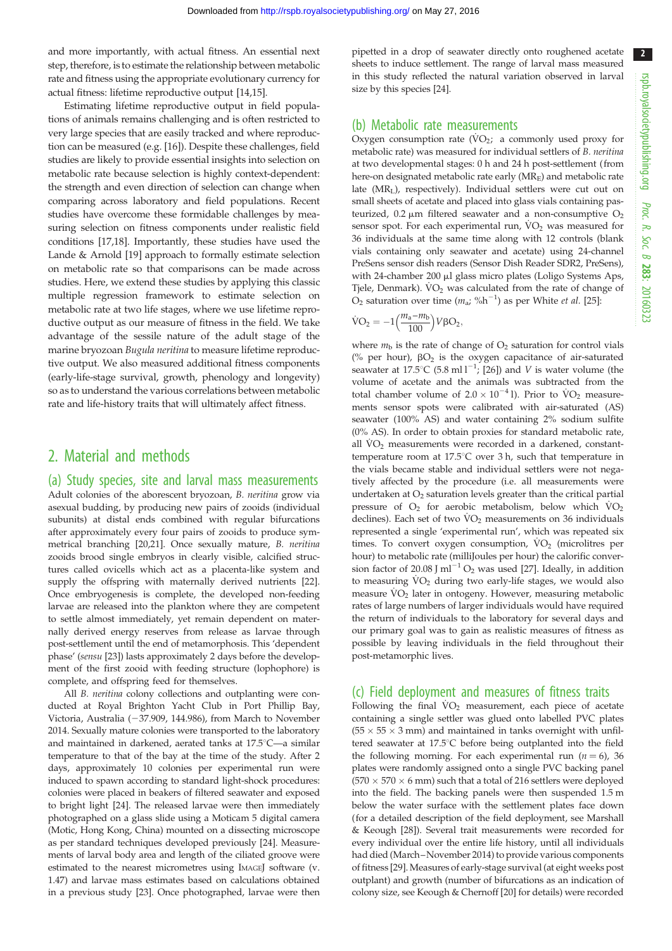and more importantly, with actual fitness. An essential next step, therefore, is to estimate the relationship between metabolic rate and fitness using the appropriate evolutionary currency for actual fitness: lifetime reproductive output [\[14](#page-6-0)[,15](#page-7-0)].

Estimating lifetime reproductive output in field populations of animals remains challenging and is often restricted to very large species that are easily tracked and where reproduction can be measured (e.g. [\[16](#page-7-0)]). Despite these challenges, field studies are likely to provide essential insights into selection on metabolic rate because selection is highly context-dependent: the strength and even direction of selection can change when comparing across laboratory and field populations. Recent studies have overcome these formidable challenges by measuring selection on fitness components under realistic field conditions [[17,18\]](#page-7-0). Importantly, these studies have used the Lande & Arnold [[19\]](#page-7-0) approach to formally estimate selection on metabolic rate so that comparisons can be made across studies. Here, we extend these studies by applying this classic multiple regression framework to estimate selection on metabolic rate at two life stages, where we use lifetime reproductive output as our measure of fitness in the field. We take advantage of the sessile nature of the adult stage of the marine bryozoan Bugula neritina to measure lifetime reproductive output. We also measured additional fitness components (early-life-stage survival, growth, phenology and longevity) so as to understand the various correlations between metabolic rate and life-history traits that will ultimately affect fitness.

## 2. Material and methods

(a) Study species, site and larval mass measurements Adult colonies of the aborescent bryozoan, B. neritina grow via asexual budding, by producing new pairs of zooids (individual subunits) at distal ends combined with regular bifurcations after approximately every four pairs of zooids to produce symmetrical branching [[20,21\]](#page-7-0). Once sexually mature, B. neritina zooids brood single embryos in clearly visible, calcified structures called ovicells which act as a placenta-like system and supply the offspring with maternally derived nutrients [\[22\]](#page-7-0). Once embryogenesis is complete, the developed non-feeding larvae are released into the plankton where they are competent to settle almost immediately, yet remain dependent on maternally derived energy reserves from release as larvae through post-settlement until the end of metamorphosis. This 'dependent phase' (sensu [\[23\]](#page-7-0)) lasts approximately 2 days before the development of the first zooid with feeding structure (lophophore) is complete, and offspring feed for themselves.

All B. neritina colony collections and outplanting were conducted at Royal Brighton Yacht Club in Port Phillip Bay, Victoria, Australia ( $-37.909$ , 144.986), from March to November 2014. Sexually mature colonies were transported to the laboratory and maintained in darkened, aerated tanks at  $17.5^{\circ}$ C—a similar temperature to that of the bay at the time of the study. After 2 days, approximately 10 colonies per experimental run were induced to spawn according to standard light-shock procedures: colonies were placed in beakers of filtered seawater and exposed to bright light [[24](#page-7-0)]. The released larvae were then immediately photographed on a glass slide using a Moticam 5 digital camera (Motic, Hong Kong, China) mounted on a dissecting microscope as per standard techniques developed previously [[24](#page-7-0)]. Measurements of larval body area and length of the ciliated groove were estimated to the nearest micrometres using IMAGEJ software (v. 1.47) and larvae mass estimates based on calculations obtained in a previous study [\[23\]](#page-7-0). Once photographed, larvae were then

pipetted in a drop of seawater directly onto roughened acetate sheets to induce settlement. The range of larval mass measured in this study reflected the natural variation observed in larval size by this species [[24](#page-7-0)].

#### (b) Metabolic rate measurements

Oxygen consumption rate  $(\dot{V}O_2)$ ; a commonly used proxy for metabolic rate) was measured for individual settlers of B. neritina at two developmental stages: 0 h and 24 h post-settlement (from here-on designated metabolic rate early  $(MR<sub>E</sub>)$  and metabolic rate late (MRL), respectively). Individual settlers were cut out on small sheets of acetate and placed into glass vials containing pasteurized, 0.2  $\mu$ m filtered seawater and a non-consumptive  $O_2$ sensor spot. For each experimental run,  $\rm\ddot{VO}_2$  was measured for 36 individuals at the same time along with 12 controls (blank vials containing only seawater and acetate) using 24-channel PreSens sensor dish readers (Sensor Dish Reader SDR2, PreSens), with 24-chamber 200 µl glass micro plates (Loligo Systems Aps, Tjele, Denmark).  $\dot{V}O_2$  was calculated from the rate of change of  $O_2$  saturation over time  $(m_a; \, ^\circ\!\!\sqrt{b}n^{-1})$  as per White *et al.* [\[25\]](#page-7-0):

$$
\dot{V}O_2=-1\Big(\frac{m_a{-}m_b}{100}\Big)V\beta O_2,
$$

where  $m_b$  is the rate of change of  $O_2$  saturation for control vials (% per hour),  $\beta O_2$  is the oxygen capacitance of air-saturated seawater at 17.5°C (5.8 ml  $1^{-1}$ ; [[26](#page-7-0)]) and *V* is water volume (the volume of acetate and the animals was subtracted from the total chamber volume of  $2.0 \times 10^{-4}$  l). Prior to  $\rm \dot{V}O_2$  measurements sensor spots were calibrated with air-saturated (AS) seawater (100% AS) and water containing 2% sodium sulfite (0% AS). In order to obtain proxies for standard metabolic rate, all  $\rm VO_2$  measurements were recorded in a darkened, constanttemperature room at  $17.5^{\circ}$ C over 3 h, such that temperature in the vials became stable and individual settlers were not negatively affected by the procedure (i.e. all measurements were undertaken at  $O_2$  saturation levels greater than the critical partial pressure of  $O_2$  for aerobic metabolism, below which  $\rm \dot{V}O_2$ declines). Each set of two  $\rm\dot{VO}_2$  measurements on 36 individuals represented a single 'experimental run', which was repeated six times. To convert oxygen consumption, VO<sub>2</sub> (microlitres per hour) to metabolic rate (milliJoules per hour) the calorific conver-sion factor of 20.08 J ml<sup>-1</sup> O<sub>2</sub> was used [\[27\]](#page-7-0). Ideally, in addition to measuring  $VO<sub>2</sub>$  during two early-life stages, we would also measure  $\rm \dot{VO}_2$  later in ontogeny. However, measuring metabolic rates of large numbers of larger individuals would have required the return of individuals to the laboratory for several days and our primary goal was to gain as realistic measures of fitness as possible by leaving individuals in the field throughout their post-metamorphic lives.

### (c) Field deployment and measures of fitness traits

Following the final  $VO<sub>2</sub>$  measurement, each piece of acetate containing a single settler was glued onto labelled PVC plates  $(55 \times 55 \times 3$  mm) and maintained in tanks overnight with unfiltered seawater at 17.5°C before being outplanted into the field the following morning. For each experimental run  $(n = 6)$ , 36 plates were randomly assigned onto a single PVC backing panel  $(570 \times 570 \times 6$  mm) such that a total of 216 settlers were deployed into the field. The backing panels were then suspended 1.5 m below the water surface with the settlement plates face down (for a detailed description of the field deployment, see Marshall & Keough [[28](#page-7-0)]). Several trait measurements were recorded for every individual over the entire life history, until all individuals had died (March–November 2014) to provide various components of fitness [\[29\]](#page-7-0). Measures of early-stage survival (at eight weeks post outplant) and growth (number of bifurcations as an indication of colony size, see Keough & Chernoff [\[20\]](#page-7-0) for details) were recorded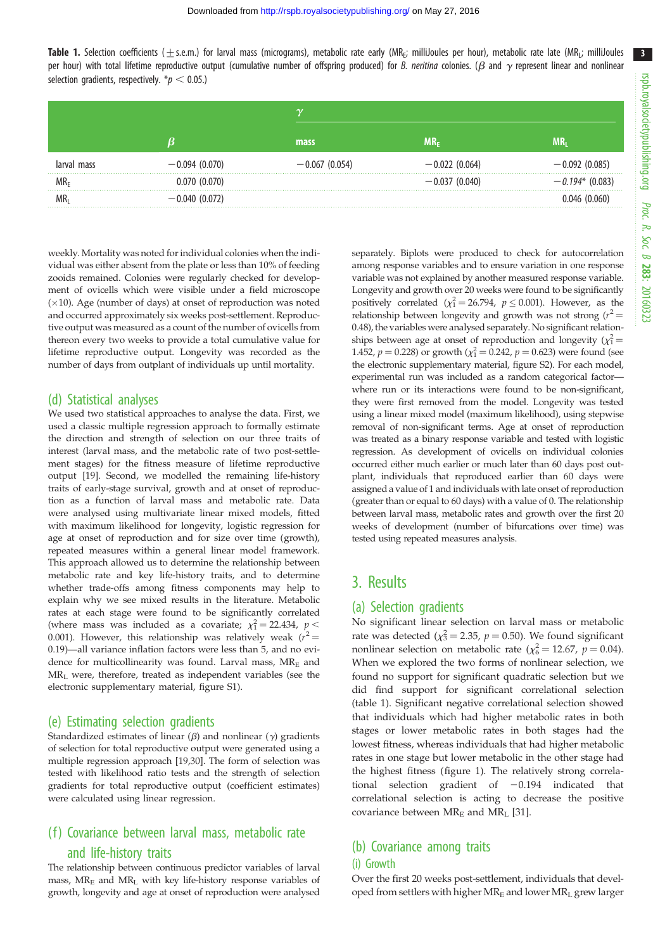3

Table 1. Selection coefficients ( $\pm$  s.e.m.) for larval mass (micrograms), metabolic rate early (MR<sub>E</sub>; milliJoules per hour), metabolic rate late (MR<sub>I</sub>; milliJoules per hour) with total lifetime reproductive output (cumulative number of offspring produced) for B. neritina colonies. ( $\beta$  and  $\gamma$  represent linear and nonlinear selection gradients, respectively.  $*_p$  < 0.05.)

|                 |                 | $\sim$           |                   |                   |
|-----------------|-----------------|------------------|-------------------|-------------------|
|                 |                 | mass             |                   | <b>MR</b>         |
| mas:<br>iarvai  | $-0.094(0.070)$ | $-0.06/$ (0.054) | .022 (0.064)      |                   |
| MR <sub>r</sub> | 0.070(0.070)    |                  | .<br>0.037(0.040) | $-0.194*$ (0.083) |
| .               | $-0.040(0.072)$ |                  |                   |                   |

weekly. Mortality was noted for individual colonies when the individual was either absent from the plate or less than 10% of feeding zooids remained. Colonies were regularly checked for development of ovicells which were visible under a field microscope  $(x10)$ . Age (number of days) at onset of reproduction was noted and occurred approximately six weeks post-settlement. Reproductive output was measured as a count of the number of ovicells from thereon every two weeks to provide a total cumulative value for lifetime reproductive output. Longevity was recorded as the number of days from outplant of individuals up until mortality.

### (d) Statistical analyses

We used two statistical approaches to analyse the data. First, we used a classic multiple regression approach to formally estimate the direction and strength of selection on our three traits of interest (larval mass, and the metabolic rate of two post-settlement stages) for the fitness measure of lifetime reproductive output [[19](#page-7-0)]. Second, we modelled the remaining life-history traits of early-stage survival, growth and at onset of reproduction as a function of larval mass and metabolic rate. Data were analysed using multivariate linear mixed models, fitted with maximum likelihood for longevity, logistic regression for age at onset of reproduction and for size over time (growth), repeated measures within a general linear model framework. This approach allowed us to determine the relationship between metabolic rate and key life-history traits, and to determine whether trade-offs among fitness components may help to explain why we see mixed results in the literature. Metabolic rates at each stage were found to be significantly correlated (where mass was included as a covariate;  $\chi_1^2 = 22.434$ ,  $p <$ 0.001). However, this relationship was relatively weak ( $r^2 =$ 0.19)—all variance inflation factors were less than 5, and no evidence for multicollinearity was found. Larval mass,  $MR_E$  and  $MR<sub>L</sub>$  were, therefore, treated as independent variables (see the electronic supplementary material, figure S1).

### (e) Estimating selection gradients

Standardized estimates of linear  $(\beta)$  and nonlinear  $(\gamma)$  gradients of selection for total reproductive output were generated using a multiple regression approach [\[19,30](#page-7-0)]. The form of selection was tested with likelihood ratio tests and the strength of selection gradients for total reproductive output (coefficient estimates) were calculated using linear regression.

## (f) Covariance between larval mass, metabolic rate and life-history traits

The relationship between continuous predictor variables of larval mass, MR<sub>E</sub> and MR<sub>L</sub> with key life-history response variables of growth, longevity and age at onset of reproduction were analysed

separately. Biplots were produced to check for autocorrelation among response variables and to ensure variation in one response variable was not explained by another measured response variable. Longevity and growth over 20 weeks were found to be significantly positively correlated  $(\chi_1^2 = 26.794, p \le 0.001)$ . However, as the relationship between longevity and growth was not strong  $(r^2 =$ 0.48), the variables were analysed separately. No significant relationships between age at onset of reproduction and longevity  $(\chi_1^2 =$ 1.452,  $p = 0.228$ ) or growth ( $\chi_1^2 = 0.242$ ,  $p = 0.623$ ) were found (see the electronic supplementary material, figure S2). For each model, experimental run was included as a random categorical factor where run or its interactions were found to be non-significant, they were first removed from the model. Longevity was tested using a linear mixed model (maximum likelihood), using stepwise removal of non-significant terms. Age at onset of reproduction was treated as a binary response variable and tested with logistic regression. As development of ovicells on individual colonies occurred either much earlier or much later than 60 days post outplant, individuals that reproduced earlier than 60 days were assigned a value of 1 and individuals with late onset of reproduction (greater than or equal to 60 days) with a value of 0. The relationship between larval mass, metabolic rates and growth over the first 20 weeks of development (number of bifurcations over time) was tested using repeated measures analysis.

# 3. Results

### (a) Selection gradients

No significant linear selection on larval mass or metabolic rate was detected ( $\chi^2$  = 2.35, p = 0.50). We found significant nonlinear selection on metabolic rate ( $\chi^2_6$  = 12.67,  $p$  = 0.04). When we explored the two forms of nonlinear selection, we found no support for significant quadratic selection but we did find support for significant correlational selection (table 1). Significant negative correlational selection showed that individuals which had higher metabolic rates in both stages or lower metabolic rates in both stages had the lowest fitness, whereas individuals that had higher metabolic rates in one stage but lower metabolic in the other stage had the highest fitness [\(figure 1\)](#page-3-0). The relatively strong correlational selection gradient of  $-0.194$  indicated that correlational selection is acting to decrease the positive covariance between  $MR_E$  and  $MR_L$  [[31\]](#page-7-0).

### (b) Covariance among traits

### (i) Growth

Over the first 20 weeks post-settlement, individuals that developed from settlers with higher  $MR_E$  and lower  $MR_L$  grew larger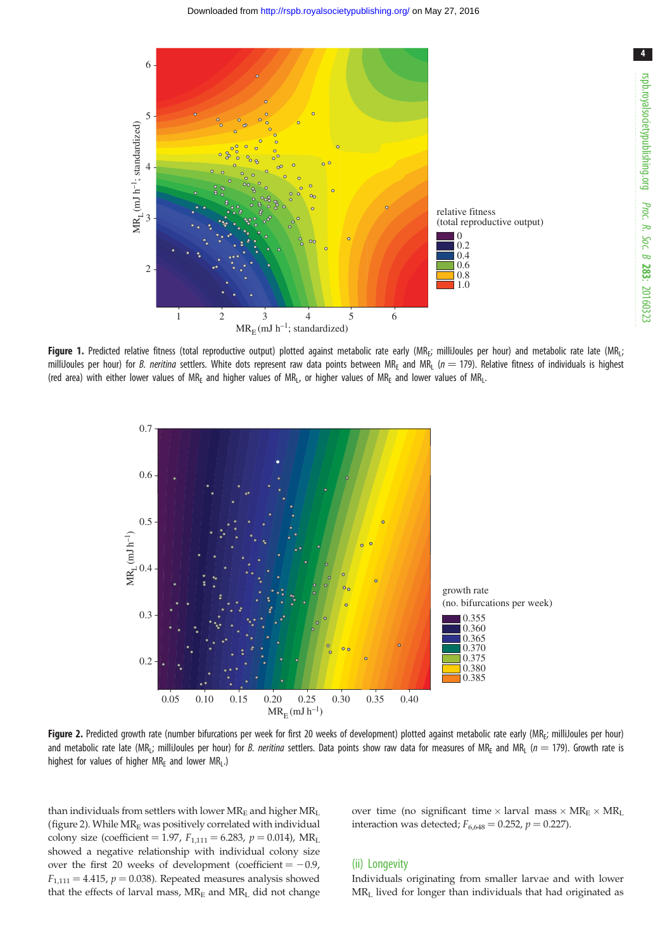<span id="page-3-0"></span>

Figure 1. Predicted relative fitness (total reproductive output) plotted against metabolic rate early (MR<sub>E</sub>; milliJoules per hour) and metabolic rate late (MR<sub>L</sub>; milliJoules per hour) for B. neritina settlers. White dots represent raw data points between  $MR_E$  and  $MR_L$  ( $n = 179$ ). Relative fitness of individuals is highest (red area) with either lower values of MR<sub>E</sub> and higher values of MR<sub>L</sub>, or higher values of MR<sub>E</sub> and lower values of MR<sub>L</sub>.



Figure 2. Predicted growth rate (number bifurcations per week for first 20 weeks of development) plotted against metabolic rate early (MRE; milliJoules per hour) and metabolic rate late (MR<sub>I</sub>; milliJoules per hour) for B. neritina settlers. Data points show raw data for measures of MR<sub>E</sub> and MR<sub>I</sub> (n = 179). Growth rate is highest for values of higher  $MR_E$  and lower  $MR_L$ .)

than individuals from settlers with lower  $MR_E$  and higher  $MR_L$ (figure 2). While  $MR_E$  was positively correlated with individual colony size (coefficient = 1.97,  $F_{1,111} = 6.283$ ,  $p = 0.014$ ), MR<sub>L</sub> showed a negative relationship with individual colony size over the first 20 weeks of development (coefficient  $= -0.9$ ,  $F_{1,111} = 4.415$ ,  $p = 0.038$ ). Repeated measures analysis showed that the effects of larval mass,  $MR_E$  and  $MR_L$  did not change over time (no significant time  $\times$  larval mass  $\times$  MR<sub>E</sub>  $\times$  MR<sub>L</sub> interaction was detected;  $F_{6,648} = 0.252$ ,  $p = 0.227$ ).

#### (ii) Longevity

Individuals originating from smaller larvae and with lower MRL lived for longer than individuals that had originated as 4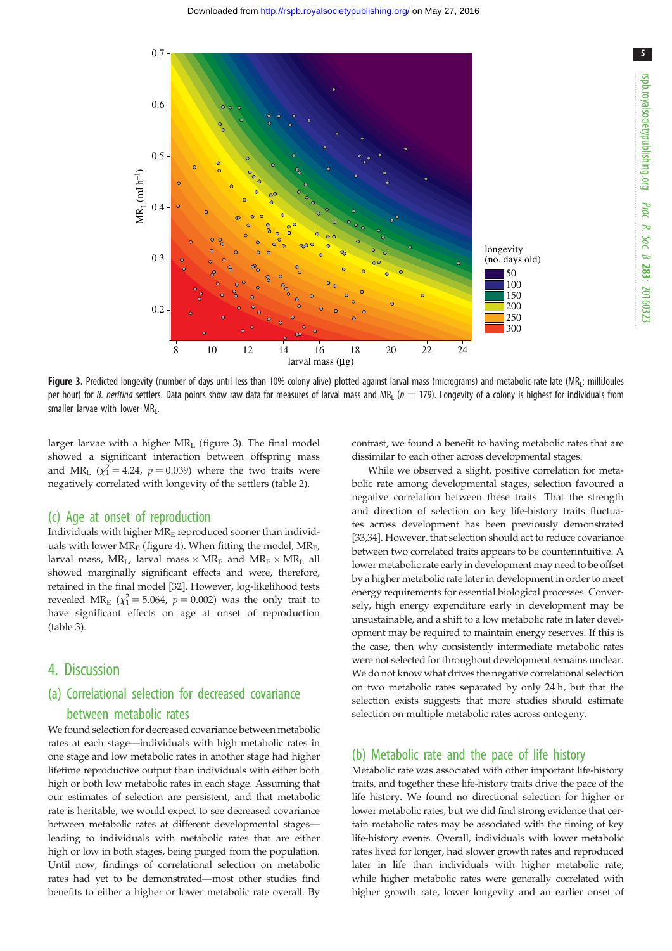

Figure 3. Predicted longevity (number of days until less than 10% colony alive) plotted against larval mass (micrograms) and metabolic rate late (MR<sub>L</sub>; milliJoules per hour) for B. neritina settlers. Data points show raw data for measures of larval mass and MR<sub>L</sub> ( $n = 179$ ). Longevity of a colony is highest for individuals from smaller larvae with lower  $MR<sub>L</sub>$ .

larger larvae with a higher  $MR<sub>L</sub>$  (figure 3). The final model showed a significant interaction between offspring mass and MR<sub>L</sub>  $(\chi_1^2 = 4.24, p = 0.039)$  where the two traits were negatively correlated with longevity of the settlers ([table 2](#page-5-0)).

#### (c) Age at onset of reproduction

Individuals with higher  $MR_E$  reproduced sooner than individuals with lower  $MR_E$  [\(figure 4\)](#page-5-0). When fitting the model,  $MR_E$ , larval mass,  $MR_L$ , larval mass  $\times MR_E$  and  $MR_E \times MR_L$  all showed marginally significant effects and were, therefore, retained in the final model [\[32](#page-7-0)]. However, log-likelihood tests revealed MR<sub>E</sub> ( $\chi_1^2 = 5.064$ ,  $p = 0.002$ ) was the only trait to have significant effects on age at onset of reproduction [\(table 3](#page-5-0)).

## 4. Discussion

# (a) Correlational selection for decreased covariance between metabolic rates

We found selection for decreased covariance between metabolic rates at each stage—individuals with high metabolic rates in one stage and low metabolic rates in another stage had higher lifetime reproductive output than individuals with either both high or both low metabolic rates in each stage. Assuming that our estimates of selection are persistent, and that metabolic rate is heritable, we would expect to see decreased covariance between metabolic rates at different developmental stages leading to individuals with metabolic rates that are either high or low in both stages, being purged from the population. Until now, findings of correlational selection on metabolic rates had yet to be demonstrated—most other studies find benefits to either a higher or lower metabolic rate overall. By contrast, we found a benefit to having metabolic rates that are dissimilar to each other across developmental stages.

While we observed a slight, positive correlation for metabolic rate among developmental stages, selection favoured a negative correlation between these traits. That the strength and direction of selection on key life-history traits fluctuates across development has been previously demonstrated [[33](#page-7-0),[34](#page-7-0)]. However, that selection should act to reduce covariance between two correlated traits appears to be counterintuitive. A lower metabolic rate early in development may need to be offset by a higher metabolic rate later in development in order to meet energy requirements for essential biological processes. Conversely, high energy expenditure early in development may be unsustainable, and a shift to a low metabolic rate in later development may be required to maintain energy reserves. If this is the case, then why consistently intermediate metabolic rates were not selected for throughout development remains unclear. We do not know what drives the negative correlational selection on two metabolic rates separated by only 24 h, but that the selection exists suggests that more studies should estimate selection on multiple metabolic rates across ontogeny.

### (b) Metabolic rate and the pace of life history

Metabolic rate was associated with other important life-history traits, and together these life-history traits drive the pace of the life history. We found no directional selection for higher or lower metabolic rates, but we did find strong evidence that certain metabolic rates may be associated with the timing of key life-history events. Overall, individuals with lower metabolic rates lived for longer, had slower growth rates and reproduced later in life than individuals with higher metabolic rate; while higher metabolic rates were generally correlated with higher growth rate, lower longevity and an earlier onset of 5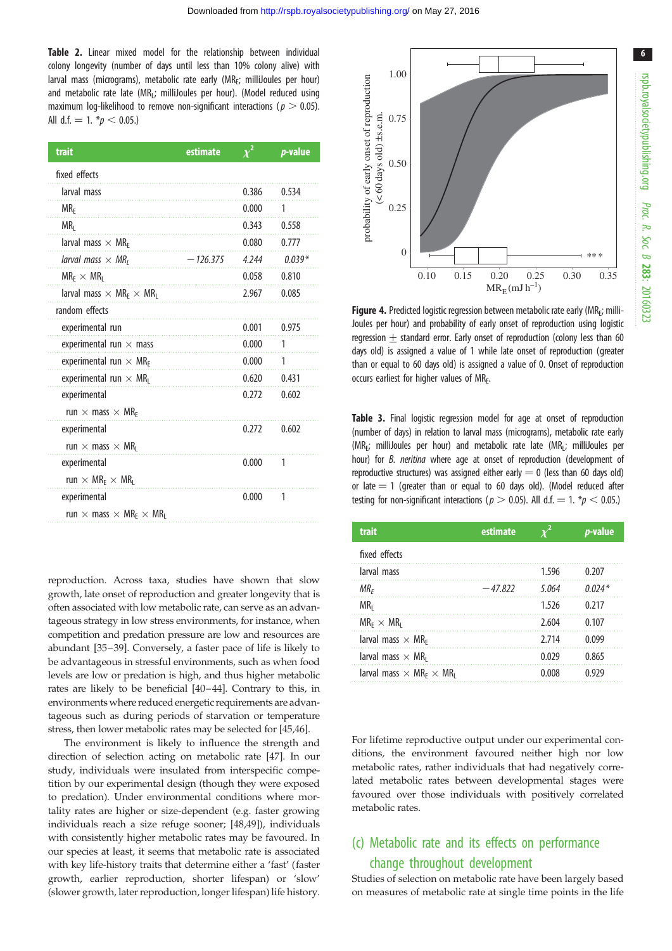<span id="page-5-0"></span>Table 2. Linear mixed model for the relationship between individual colony longevity (number of days until less than 10% colony alive) with larval mass (micrograms), metabolic rate early ( $MR$ <sub>F</sub>; milliJoules per hour) and metabolic rate late (MR<sub>L</sub>; milliJoules per hour). (Model reduced using maximum log-likelihood to remove non-significant interactions ( $p > 0.05$ ). All d.f.  $= 1. *p < 0.05$ .)

| trait                                                               | estimate   | $\chi^2$ | <i>p</i> -value |
|---------------------------------------------------------------------|------------|----------|-----------------|
| fixed effects                                                       |            |          |                 |
| larval mass                                                         |            | 0.386    | 0.534           |
| $MR_F$                                                              |            | 0.000    | 1               |
| MR <sub>I</sub>                                                     |            | 0.343    | 0.558           |
| larval mass $\times$ MR <sub>E</sub>                                |            | 0.080    | 0.777           |
| larval mass $\times$ MR <sub>I</sub>                                | $-126.375$ | 4.244    | $0.039*$        |
| $MR_F \times MR_I$                                                  |            | 0.058    | 0.810           |
| larval mass $\times$ MR <sub>E</sub> $\times$ MR <sub>L</sub>       |            | 2.967    | 0.085           |
| random effects                                                      |            |          |                 |
| experimental run                                                    |            | 0.001    | 0.975           |
| experimental run $\times$ mass                                      |            | 0.000    | 1               |
| experimental run $\times$ MR <sub>E</sub>                           |            | 0.000    | 1               |
| experimental run $\times$ MR <sub>I</sub>                           |            | 0.620    | 0.431           |
| experimental                                                        |            | 0.272    | 0.602           |
| run $\times$ mass $\times$ MR <sub>F</sub>                          |            |          |                 |
| experimental                                                        |            | 0.272    | 0.602           |
| run $\times$ mass $\times$ MR <sub>I</sub>                          |            |          |                 |
| experimental                                                        |            | 0.000    | 1               |
| run $\times$ MR <sub>F</sub> $\times$ MR <sub>I</sub>               |            |          |                 |
| experimental                                                        |            | 0.000    | 1               |
| run $\times$ mass $\times$ MR <sub>E</sub> $\times$ MR <sub>L</sub> |            |          |                 |

reproduction. Across taxa, studies have shown that slow growth, late onset of reproduction and greater longevity that is often associated with low metabolic rate, can serve as an advantageous strategy in low stress environments, for instance, when competition and predation pressure are low and resources are abundant [\[35](#page-7-0)–[39\]](#page-7-0). Conversely, a faster pace of life is likely to be advantageous in stressful environments, such as when food levels are low or predation is high, and thus higher metabolic rates are likely to be beneficial [\[40](#page-7-0)–[44\]](#page-7-0). Contrary to this, in environments where reduced energetic requirements are advantageous such as during periods of starvation or temperature stress, then lower metabolic rates may be selected for [\[45,46\]](#page-7-0).

The environment is likely to influence the strength and direction of selection acting on metabolic rate [[47\]](#page-7-0). In our study, individuals were insulated from interspecific competition by our experimental design (though they were exposed to predation). Under environmental conditions where mortality rates are higher or size-dependent (e.g. faster growing individuals reach a size refuge sooner; [\[48,49](#page-7-0)]), individuals with consistently higher metabolic rates may be favoured. In our species at least, it seems that metabolic rate is associated with key life-history traits that determine either a 'fast' (faster growth, earlier reproduction, shorter lifespan) or 'slow' (slower growth, later reproduction, longer lifespan) life history.



Figure 4. Predicted logistic regression between metabolic rate early ( $MR_E$ ; milli-Joules per hour) and probability of early onset of reproduction using logistic regression  $+$  standard error. Early onset of reproduction (colony less than 60 days old) is assigned a value of 1 while late onset of reproduction (greater than or equal to 60 days old) is assigned a value of 0. Onset of reproduction occurs earliest for higher values of MRF.

Table 3. Final logistic regression model for age at onset of reproduction (number of days) in relation to larval mass (micrograms), metabolic rate early ( $MR_E$ ; milliJoules per hour) and metabolic rate late ( $MR_i$ ; milliJoules per hour) for *B. neritina* where age at onset of reproduction (development of reproductive structures) was assigned either early  $= 0$  (less than 60 days old) or late  $= 1$  (greater than or equal to 60 days old). (Model reduced after testing for non-significant interactions ( $p > 0.05$ ). All d.f. = 1. \* $p < 0.05$ .)

| trait                                                         | estimate  |       | <i>p</i> -value |
|---------------------------------------------------------------|-----------|-------|-----------------|
| fixed effects                                                 |           |       |                 |
| larval mass                                                   |           | 1.596 | 0.207           |
| $MR_F$                                                        | $-47.822$ | 5.064 | $0.024*$        |
| MR <sub>I</sub>                                               |           | 1.526 | 0.217           |
| $MR_F \times MR_I$                                            |           | 2.604 | 0.107           |
| larval mass $\times$ MR <sub>F</sub>                          |           | 2.714 | 0.099           |
| larval mass $\times$ MR <sub>1</sub>                          |           | 0.029 | 0.865           |
| larval mass $\times$ MR <sub>E</sub> $\times$ MR <sub>L</sub> |           | 0.008 | 0.929           |

For lifetime reproductive output under our experimental conditions, the environment favoured neither high nor low metabolic rates, rather individuals that had negatively correlated metabolic rates between developmental stages were favoured over those individuals with positively correlated metabolic rates.

### (c) Metabolic rate and its effects on performance change throughout development

Studies of selection on metabolic rate have been largely based on measures of metabolic rate at single time points in the life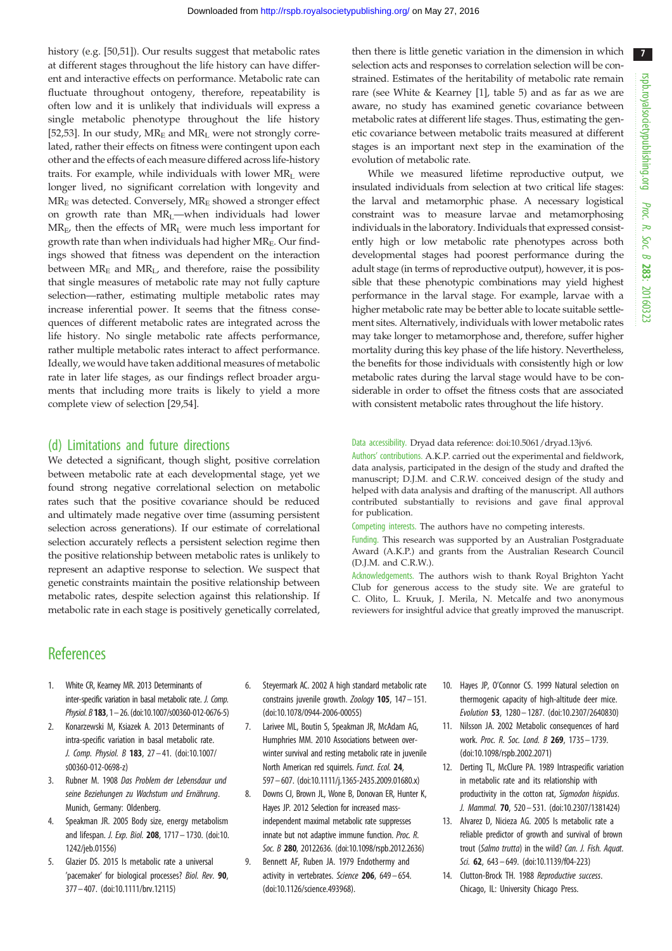7

<span id="page-6-0"></span>history (e.g. [\[50,51](#page-7-0)]). Our results suggest that metabolic rates at different stages throughout the life history can have different and interactive effects on performance. Metabolic rate can fluctuate throughout ontogeny, therefore, repeatability is often low and it is unlikely that individuals will express a single metabolic phenotype throughout the life history [\[52](#page-7-0),[53\]](#page-7-0). In our study,  $MR_E$  and  $MR_L$  were not strongly correlated, rather their effects on fitness were contingent upon each other and the effects of each measure differed across life-history traits. For example, while individuals with lower  $MR<sub>L</sub>$  were longer lived, no significant correlation with longevity and MRE was detected. Conversely, MRE showed a stronger effect on growth rate than MR<sub>L</sub>—when individuals had lower  $MR_{E}$ , then the effects of  $MR_{L}$  were much less important for growth rate than when individuals had higher  $MR_E$ . Our findings showed that fitness was dependent on the interaction between  $MR_E$  and  $MR_L$ , and therefore, raise the possibility that single measures of metabolic rate may not fully capture selection—rather, estimating multiple metabolic rates may increase inferential power. It seems that the fitness consequences of different metabolic rates are integrated across the life history. No single metabolic rate affects performance, rather multiple metabolic rates interact to affect performance. Ideally, we would have taken additional measures of metabolic rate in later life stages, as our findings reflect broader arguments that including more traits is likely to yield a more complete view of selection [\[29,54](#page-7-0)].

### (d) Limitations and future directions

We detected a significant, though slight, positive correlation between metabolic rate at each developmental stage, yet we found strong negative correlational selection on metabolic rates such that the positive covariance should be reduced and ultimately made negative over time (assuming persistent selection across generations). If our estimate of correlational selection accurately reflects a persistent selection regime then the positive relationship between metabolic rates is unlikely to represent an adaptive response to selection. We suspect that genetic constraints maintain the positive relationship between metabolic rates, despite selection against this relationship. If metabolic rate in each stage is positively genetically correlated, then there is little genetic variation in the dimension in which selection acts and responses to correlation selection will be constrained. Estimates of the heritability of metabolic rate remain rare (see White & Kearney [1], table 5) and as far as we are aware, no study has examined genetic covariance between metabolic rates at different life stages. Thus, estimating the genetic covariance between metabolic traits measured at different stages is an important next step in the examination of the evolution of metabolic rate.

While we measured lifetime reproductive output, we insulated individuals from selection at two critical life stages: the larval and metamorphic phase. A necessary logistical constraint was to measure larvae and metamorphosing individuals in the laboratory. Individuals that expressed consistently high or low metabolic rate phenotypes across both developmental stages had poorest performance during the adult stage (in terms of reproductive output), however, it is possible that these phenotypic combinations may yield highest performance in the larval stage. For example, larvae with a higher metabolic rate may be better able to locate suitable settlement sites. Alternatively, individuals with lower metabolic rates may take longer to metamorphose and, therefore, suffer higher mortality during this key phase of the life history. Nevertheless, the benefits for those individuals with consistently high or low metabolic rates during the larval stage would have to be considerable in order to offset the fitness costs that are associated with consistent metabolic rates throughout the life history.

#### Data accessibility. Dryad data reference: [doi:10.5061/dryad.13jv6](http://dx.doi.org/10.5061/dryad.13jv6).

Authors' contributions. A.K.P. carried out the experimental and fieldwork, data analysis, participated in the design of the study and drafted the manuscript; D.J.M. and C.R.W. conceived design of the study and helped with data analysis and drafting of the manuscript. All authors contributed substantially to revisions and gave final approval for publication.

Competing interests. The authors have no competing interests.

Funding. This research was supported by an Australian Postgraduate Award (A.K.P.) and grants from the Australian Research Council (D.J.M. and C.R.W.).

Acknowledgements. The authors wish to thank Royal Brighton Yacht Club for generous access to the study site. We are grateful to C. Olito, L. Kruuk, J. Merila, N. Metcalfe and two anonymous reviewers for insightful advice that greatly improved the manuscript.

# **References**

- 1. White CR, Kearney MR. 2013 Determinants of inter-specific variation in basal metabolic rate. J. Comp. Physiol. B 183, 1–26. ([doi:10.1007/s00360-012-0676-5\)](http://dx.doi.org/10.1007/s00360-012-0676-5)
- 2. Konarzewski M, Ksiazek A. 2013 Determinants of intra-specific variation in basal metabolic rate. J. Comp. Physiol. B 183, 27 – 41. [\(doi:10.1007/](http://dx.doi.org/10.1007/s00360-012-0698-z) [s00360-012-0698-z](http://dx.doi.org/10.1007/s00360-012-0698-z))
- 3. Rubner M. 1908 Das Problem der Lebensdaur und seine Beziehungen zu Wachstum und Ernährung. Munich, Germany: Oldenberg.
- 4. Speakman JR. 2005 Body size, energy metabolism and lifespan. J. Exp. Biol. 208, 1717 - 1730. ([doi:10.](http://dx.doi.org/10.1242/jeb.01556) [1242/jeb.01556](http://dx.doi.org/10.1242/jeb.01556))
- 5. Glazier DS. 2015 Is metabolic rate a universal 'pacemaker' for biological processes? Biol. Rev. 90, 377– 407. ([doi:10.1111/brv.12115](http://dx.doi.org/10.1111/brv.12115))
- 6. Steyermark AC. 2002 A high standard metabolic rate constrains juvenile growth. Zoology 105, 147 - 151. [\(doi:10.1078/0944-2006-00055](http://dx.doi.org/10.1078/0944-2006-00055))
- 7. Larivee ML, Boutin S, Speakman JR, McAdam AG, Humphries MM. 2010 Associations between overwinter survival and resting metabolic rate in juvenile North American red squirrels. Funct. Ecol. 24, 597– 607. [\(doi:10.1111/j.1365-2435.2009.01680.x\)](http://dx.doi.org/10.1111/j.1365-2435.2009.01680.x)
- 8. Downs CJ, Brown JL, Wone B, Donovan ER, Hunter K, Hayes JP. 2012 Selection for increased massindependent maximal metabolic rate suppresses innate but not adaptive immune function. Proc. R. Soc. B 280, 20122636. [\(doi:10.1098/rspb.2012.2636\)](http://dx.doi.org/10.1098/rspb.2012.2636)
- 9. Bennett AF, Ruben JA. 1979 Endothermy and activity in vertebrates. Science 206, 649 – 654. [\(doi:10.1126/science.493968\)](http://dx.doi.org/10.1126/science.493968).
- 10. Hayes JP, O'Connor CS. 1999 Natural selection on thermogenic capacity of high-altitude deer mice. Evolution 53, 1280– 1287. ([doi:10.2307/2640830](http://dx.doi.org/10.2307/2640830))
- 11. Nilsson JA. 2002 Metabolic consequences of hard work. Proc. R. Soc. Lond. B 269, 1735 – 1739. ([doi:10.1098/rspb.2002.2071\)](http://dx.doi.org/10.1098/rspb.2002.2071)
- 12. Derting TL, McClure PA. 1989 Intraspecific variation in metabolic rate and its relationship with productivity in the cotton rat, Sigmodon hispidus. J. Mammal. 70, 520– 531. [\(doi:10.2307/1381424](http://dx.doi.org/10.2307/1381424))
- 13. Alvarez D, Nicieza AG. 2005 Is metabolic rate a reliable predictor of growth and survival of brown trout (Salmo trutta) in the wild? Can. J. Fish. Aquat. Sci. 62, 643– 649. [\(doi:10.1139/f04-223](http://dx.doi.org/10.1139/f04-223))
- 14. Clutton-Brock TH. 1988 Reproductive success. Chicago, IL: University Chicago Press.